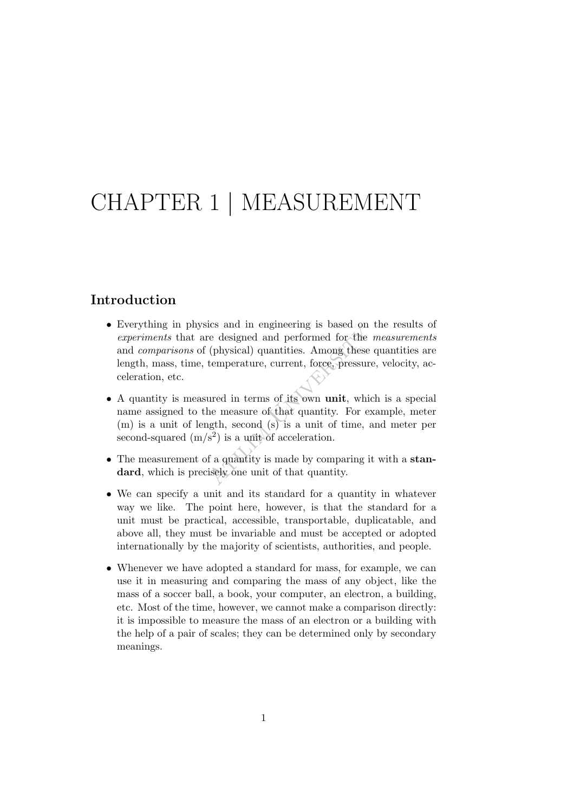# CHAPTER 1 | MEASUREMENT

### Introduction

- the designed and performed for the<br>
(physical) quantities. Among these<br>
temperature, current, force, pressure<br>
ured in terms of its own unit, which<br>
the measure of that quantity. For ength, second (s) is a unit of time,<br> • Everything in physics and in engineering is based on the results of experiments that are designed and performed for the measurements and comparisons of (physical) quantities. Among these quantities are length, mass, time, temperature, current, force, pressure, velocity, acceleration, etc.
- A quantity is measured in terms of its own unit, which is a special name assigned to the measure of that quantity. For example, meter (m) is a unit of length, second (s) is a unit of time, and meter per second-squared  $(m/s<sup>2</sup>)$  is a unit of acceleration.
- The measurement of a quantity is made by comparing it with a standard, which is precisely one unit of that quantity.
- We can specify a unit and its standard for a quantity in whatever way we like. The point here, however, is that the standard for a unit must be practical, accessible, transportable, duplicatable, and above all, they must be invariable and must be accepted or adopted internationally by the majority of scientists, authorities, and people.
- Whenever we have adopted a standard for mass, for example, we can use it in measuring and comparing the mass of any object, like the mass of a soccer ball, a book, your computer, an electron, a building, etc. Most of the time, however, we cannot make a comparison directly: it is impossible to measure the mass of an electron or a building with the help of a pair of scales; they can be determined only by secondary meanings.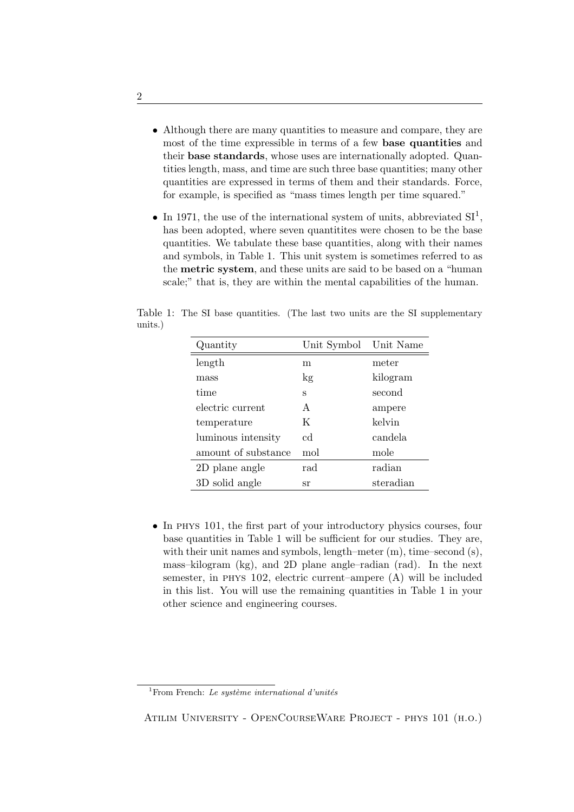- Although there are many quantities to measure and compare, they are most of the time expressible in terms of a few base quantities and their base standards, whose uses are internationally adopted. Quantities length, mass, and time are such three base quantities; many other quantities are expressed in terms of them and their standards. Force, for example, is specified as "mass times length per time squared."
- In 1971, the use of the international system of units, abbreviated  $SI<sup>1</sup>$ , has been adopted, where seven quantitities were chosen to be the base quantities. We tabulate these base quantities, along with their names and symbols, in Table 1. This unit system is sometimes referred to as the metric system, and these units are said to be based on a "human scale;" that is, they are within the mental capabilities of the human.

Table 1: The SI base quantities. (The last two units are the SI supplementary units.)

| Quantity            | Unit Symbol | Unit Name |
|---------------------|-------------|-----------|
| length              | m           | meter     |
| mass                | kg          | kilogram  |
| time                | s           | second    |
| electric current    | A           | ampere    |
| temperature         | K           | kelvin    |
| luminous intensity  | $_{\rm cd}$ | candela   |
| amount of substance | mol         | mole      |
| 2D plane angle      | rad         | radian    |
| 3D solid angle      | sr          | steradian |

• In PHYS 101, the first part of your introductory physics courses, four base quantities in Table 1 will be sufficient for our studies. They are, with their unit names and symbols, length–meter  $(m)$ , time–second  $(s)$ , mass–kilogram (kg), and 2D plane angle–radian (rad). In the next semester, in phys 102, electric current–ampere (A) will be included in this list. You will use the remaining quantities in Table 1 in your other science and engineering courses.

<sup>&</sup>lt;sup>1</sup>From French: Le système international d'unités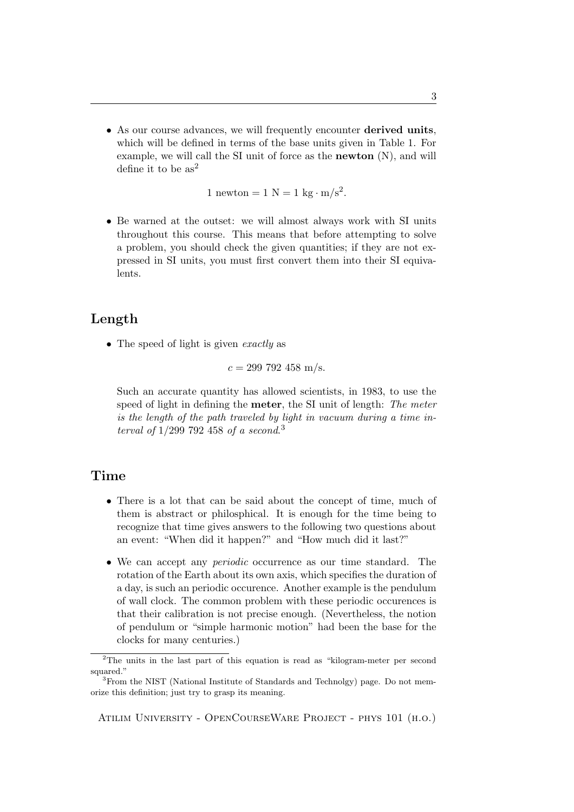• As our course advances, we will frequently encounter **derived units**, which will be defined in terms of the base units given in Table 1. For example, we will call the SI unit of force as the newton (N), and will define it to be  $as^2$ 

1 newton = 1 N = 1 kg  $\cdot$  m/s<sup>2</sup>.

• Be warned at the outset: we will almost always work with SI units throughout this course. This means that before attempting to solve a problem, you should check the given quantities; if they are not expressed in SI units, you must first convert them into their SI equivalents.

# Length

• The speed of light is given *exactly* as

 $c = 299\,792\,458\,\mathrm{m/s}.$ 

Such an accurate quantity has allowed scientists, in 1983, to use the speed of light in defining the **meter**, the SI unit of length: The meter is the length of the path traveled by light in vacuum during a time interval of  $1/299$  792 458 of a second.<sup>3</sup>

## Time

- There is a lot that can be said about the concept of time, much of them is abstract or philosphical. It is enough for the time being to recognize that time gives answers to the following two questions about an event: "When did it happen?" and "How much did it last?"
- We can accept any periodic occurrence as our time standard. The rotation of the Earth about its own axis, which specifies the duration of a day, is such an periodic occurence. Another example is the pendulum of wall clock. The common problem with these periodic occurences is that their calibration is not precise enough. (Nevertheless, the notion of pendulum or "simple harmonic motion" had been the base for the clocks for many centuries.)

<sup>2</sup>The units in the last part of this equation is read as "kilogram-meter per second squared."

<sup>3</sup>From the NIST (National Institute of Standards and Technolgy) page. Do not memorize this definition; just try to grasp its meaning.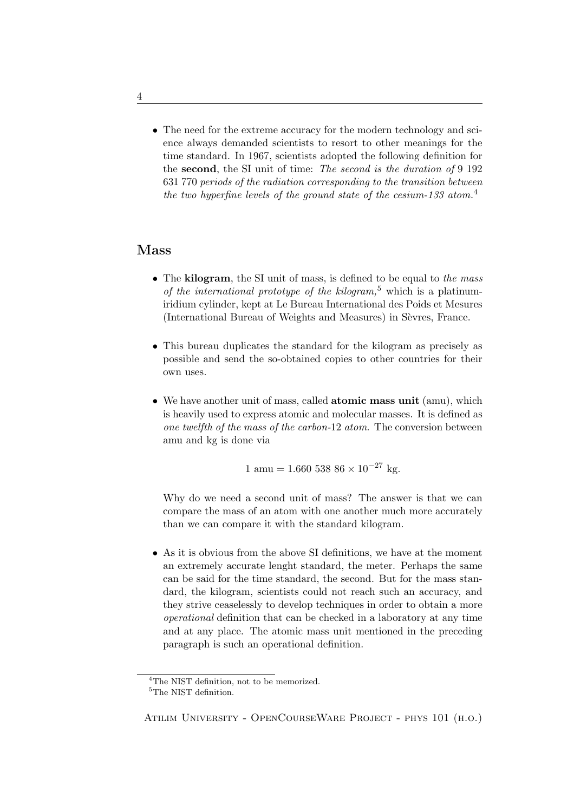• The need for the extreme accuracy for the modern technology and science always demanded scientists to resort to other meanings for the time standard. In 1967, scientists adopted the following definition for the second, the SI unit of time: The second is the duration of 9 192 631 770 periods of the radiation corresponding to the transition between the two hyperfine levels of the ground state of the cesium-133 atom.<sup>4</sup>

# Mass

- The kilogram, the SI unit of mass, is defined to be equal to the mass of the international prototype of the kilogram,<sup>5</sup> which is a platinumiridium cylinder, kept at Le Bureau International des Poids et Mesures (International Bureau of Weights and Measures) in Sèvres, France.
- This bureau duplicates the standard for the kilogram as precisely as possible and send the so-obtained copies to other countries for their own uses.
- We have another unit of mass, called **atomic mass unit** (amu), which is heavily used to express atomic and molecular masses. It is defined as one twelfth of the mass of the carbon-12 atom. The conversion between amu and kg is done via

 $1 \text{ amu} = 1.660\,538\,86 \times 10^{-27}\,\text{kg}.$ 

Why do we need a second unit of mass? The answer is that we can compare the mass of an atom with one another much more accurately than we can compare it with the standard kilogram.

• As it is obvious from the above SI definitions, we have at the moment an extremely accurate lenght standard, the meter. Perhaps the same can be said for the time standard, the second. But for the mass standard, the kilogram, scientists could not reach such an accuracy, and they strive ceaselessly to develop techniques in order to obtain a more operational definition that can be checked in a laboratory at any time and at any place. The atomic mass unit mentioned in the preceding paragraph is such an operational definition.

<sup>&</sup>lt;sup>4</sup>The NIST definition, not to be memorized.

<sup>&</sup>lt;sup>5</sup>The NIST definition.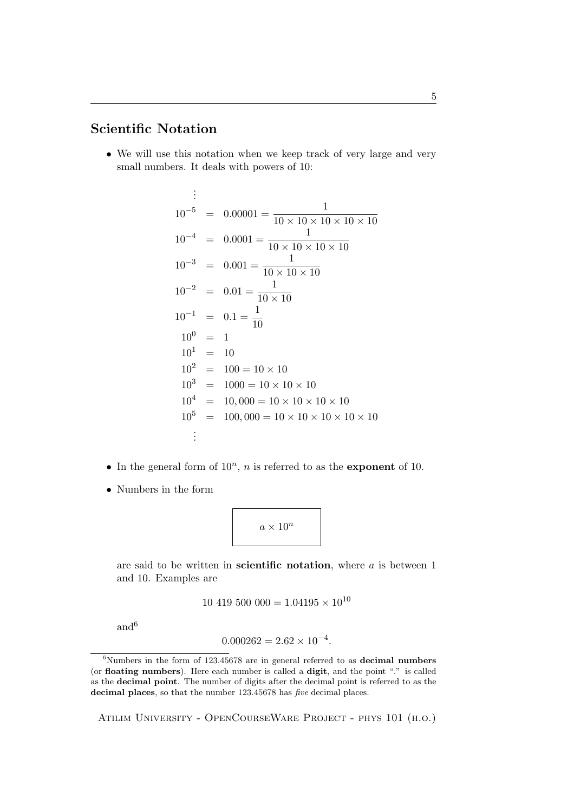# Scientific Notation

• We will use this notation when we keep track of very large and very small numbers. It deals with powers of 10:

$$
\begin{array}{rcl}\n\vdots \\
10^{-5} & = & 0.00001 = \frac{1}{10 \times 10 \times 10 \times 10 \times 10} \\
10^{-4} & = & 0.0001 = \frac{1}{10 \times 10 \times 10 \times 10} \\
10^{-3} & = & 0.001 = \frac{1}{10 \times 10 \times 10} \\
10^{-2} & = & 0.01 = \frac{1}{10 \times 10} \\
10^{-1} & = & 0.1 = \frac{1}{10} \\
10^{1} & = & 10 \\
10^{2} & = & 100 = 10 \times 10 \\
10^{3} & = & 1000 = 10 \times 10 \times 10 \\
10^{4} & = & 10,000 = 10 \times 10 \times 10 \times 10 \\
10^{5} & = & 100,000 = 10 \times 10 \times 10 \times 10 \times 10 \times 10 \\
\vdots\n\end{array}
$$

- In the general form of  $10^n$ , *n* is referred to as the **exponent** of 10.
- Numbers in the form



are said to be written in scientific notation, where  $a$  is between 1 and 10. Examples are

$$
10\;419\;500\;000 = 1.04195 \times 10^{10}
$$

and  $\!6$ 

$$
0.000262 = 2.62 \times 10^{-4}.
$$

 $6$ Numbers in the form of 123.45678 are in general referred to as **decimal numbers** (or floating numbers). Here each number is called a digit, and the point "." is called as the decimal point. The number of digits after the decimal point is referred to as the decimal places, so that the number 123.45678 has *five* decimal places.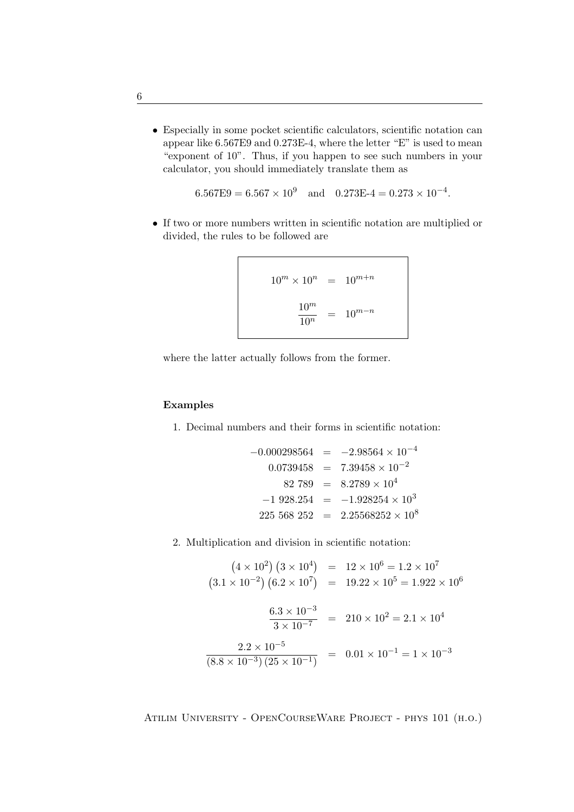• Especially in some pocket scientific calculators, scientific notation can appear like 6.567E9 and 0.273E-4, where the letter "E" is used to mean "exponent of 10". Thus, if you happen to see such numbers in your calculator, you should immediately translate them as

$$
6.567E9 = 6.567 \times 10^9 \quad \text{and} \quad 0.273E - 4 = 0.273 \times 10^{-4}.
$$

• If two or more numbers written in scientific notation are multiplied or divided, the rules to be followed are

$$
10^m \times 10^n = 10^{m+n}
$$

$$
\frac{10^m}{10^n} = 10^{m-n}
$$

where the latter actually follows from the former.

#### Examples

1. Decimal numbers and their forms in scientific notation:

$$
-0.000298564 = -2.98564 \times 10^{-4}
$$
  
\n
$$
0.0739458 = 7.39458 \times 10^{-2}
$$
  
\n
$$
82 789 = 8.2789 \times 10^{4}
$$
  
\n
$$
-1 928.254 = -1.928254 \times 10^{3}
$$
  
\n
$$
225 568 252 = 2.25568252 \times 10^{8}
$$

2. Multiplication and division in scientific notation:

$$
(4 \times 10^{2}) (3 \times 10^{4}) = 12 \times 10^{6} = 1.2 \times 10^{7}
$$
  
\n
$$
(3.1 \times 10^{-2}) (6.2 \times 10^{7}) = 19.22 \times 10^{5} = 1.922 \times 10^{6}
$$
  
\n
$$
\frac{6.3 \times 10^{-3}}{3 \times 10^{-7}} = 210 \times 10^{2} = 2.1 \times 10^{4}
$$
  
\n
$$
\frac{2.2 \times 10^{-5}}{(8.8 \times 10^{-3}) (25 \times 10^{-1})} = 0.01 \times 10^{-1} = 1 \times 10^{-3}
$$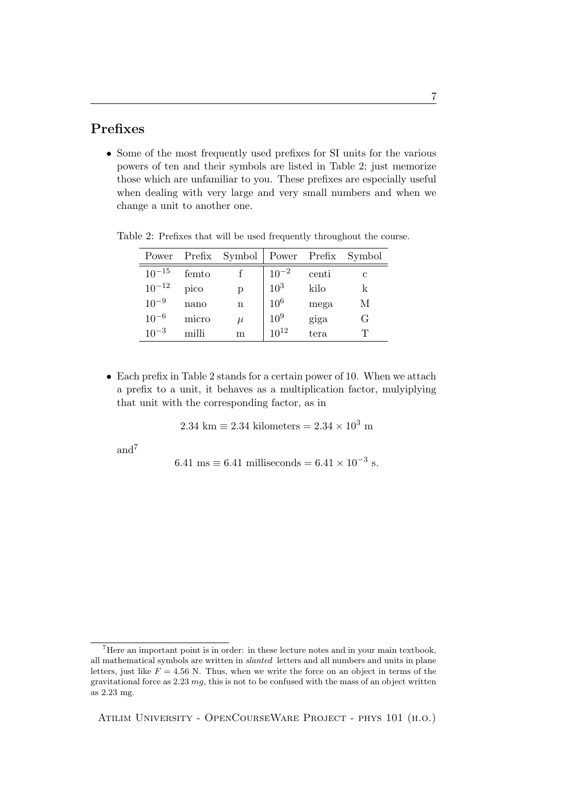# Prefixes

• Some of the most frequently used prefixes for SI units for the various powers of ten and their symbols are listed in Table 2; just memorize those which are unfamiliar to you. These prefixes are especially useful when dealing with very large and very small numbers and when we change a unit to another one.

|            |       | Power Prefix Symbol Power Prefix |                 |       | Symbol |
|------------|-------|----------------------------------|-----------------|-------|--------|
| $10^{-15}$ | femto |                                  | $10^{-2}$       | centi |        |
| $10^{-12}$ | pico  | р                                | $10^{3}$        | kilo  |        |
| $10^{-9}$  | nano  | $\mathbf n$                      | 10 <sup>6</sup> | mega  | М      |
| $10^{-6}$  | micro | $\mu$                            | $10^{9}$        | giga  | G      |
| $10^{-3}$  | milli | m                                | $10^{12}$       | tera  | T      |

Table 2: Prefixes that will be used frequently throughout the course.

• Each prefix in Table 2 stands for a certain power of 10. When we attach a prefix to a unit, it behaves as a multiplication factor, mulyiplying that unit with the corresponding factor, as in

$$
2.34 \text{ km} \equiv 2.34 \text{ kilometers} = 2.34 \times 10^3 \text{ m}
$$

and<sup>7</sup>

6.41 ms 
$$
\equiv
$$
 6.41 milliseconds  $=$  6.41  $\times$  10<sup>-3</sup> s.

<sup>7</sup>Here an important point is in order: in these lecture notes and in your main textbook, all mathematical symbols are written in slanted letters and all numbers and units in plane letters, just like  $F = 4.56$  N. Thus, when we write the force on an object in terms of the gravitational force as  $2.23 \, mq$ , this is not to be confused with the mass of an object written as 2.23 mg.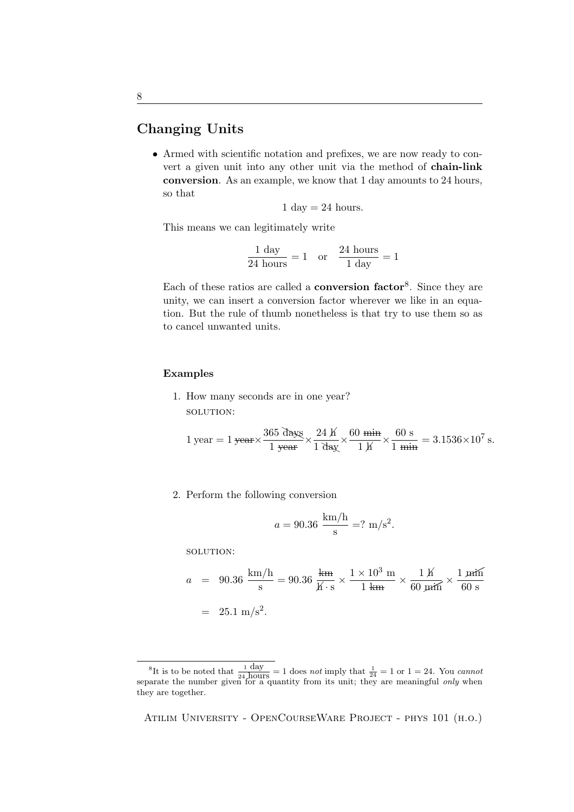# Changing Units

• Armed with scientific notation and prefixes, we are now ready to convert a given unit into any other unit via the method of chain-link conversion. As an example, we know that 1 day amounts to 24 hours, so that

$$
1 \text{ day} = 24 \text{ hours.}
$$

This means we can legitimately write

$$
\frac{1 \text{ day}}{24 \text{ hours}} = 1 \quad \text{or} \quad \frac{24 \text{ hours}}{1 \text{ day}} = 1
$$

Each of these ratios are called a **conversion factor**<sup>8</sup>. Since they are unity, we can insert a conversion factor wherever we like in an equation. But the rule of thumb nonetheless is that try to use them so as to cancel unwanted units.

#### Examples

1. How many seconds are in one year? solution:

$$
1 \text{ year} = 1 \text{ year} \times \frac{365 \text{ days}}{1 \text{ year}} \times \frac{24 \text{ K}}{1 \text{ day}} \times \frac{60 \text{ min}}{1 \text{ K}} \times \frac{60 \text{ s}}{1 \text{ min}} = 3.1536 \times 10^7 \text{ s}.
$$

2. Perform the following conversion

$$
a = 90.36 \frac{\text{km/h}}{\text{s}} = ? \text{ m/s}^2.
$$

solution:

$$
a = 90.36 \frac{\text{km/h}}{\text{s}} = 90.36 \frac{\text{km}}{\cancel{K} \cdot \text{s}} \times \frac{1 \times 10^3 \text{ m}}{1 \text{ km}} \times \frac{1 \cancel{K}}{60 \text{ min}} \times \frac{1 \text{ min}}{60 \text{ s}}
$$

$$
= 25.1 \text{ m/s}^2.
$$

<sup>&</sup>lt;sup>8</sup>It is to be noted that  $\frac{1}{24} \frac{day}{hours} = 1$  does not imply that  $\frac{1}{24} = 1$  or  $1 = 24$ . You cannot separate the number given for a quantity from its unit; they are meaningful *only* when they are together.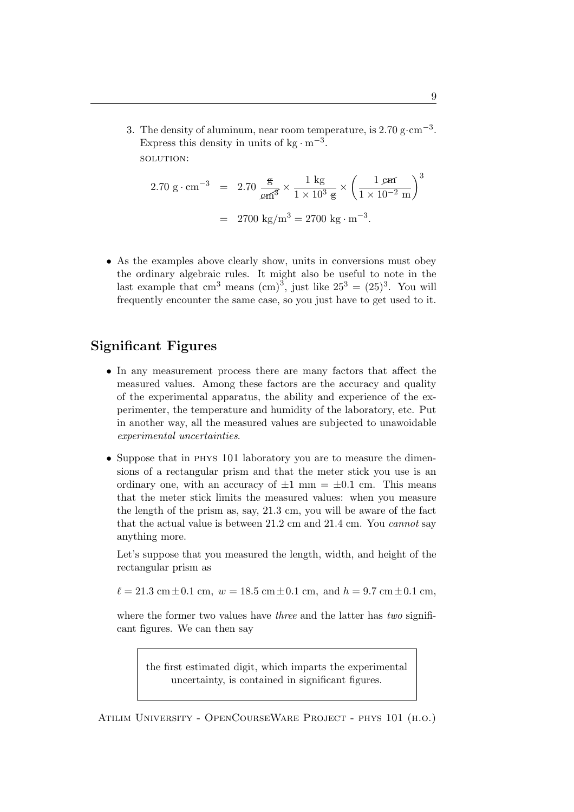3. The density of aluminum, near room temperature, is  $2.70 \text{ g} \cdot \text{cm}^{-3}$ . Express this density in units of  $kg \cdot m^{-3}$ . solution:

$$
2.70 \text{ g} \cdot \text{cm}^{-3} = 2.70 \frac{\text{g}}{\text{cm}^3} \times \frac{1 \text{ kg}}{1 \times 10^3 \text{ g}} \times \left(\frac{1 \text{ cm}}{1 \times 10^{-2} \text{ m}}\right)^3
$$

$$
= 2700 \text{ kg/m}^3 = 2700 \text{ kg} \cdot \text{m}^{-3}.
$$

• As the examples above clearly show, units in conversions must obey the ordinary algebraic rules. It might also be useful to note in the last example that cm<sup>3</sup> means  $\text{(cm)}^3$ , just like  $25^3 = (25)^3$ . You will frequently encounter the same case, so you just have to get used to it.

# Significant Figures

- In any measurement process there are many factors that affect the measured values. Among these factors are the accuracy and quality of the experimental apparatus, the ability and experience of the experimenter, the temperature and humidity of the laboratory, etc. Put in another way, all the measured values are subjected to unawoidable experimental uncertainties.
- Suppose that in PHYS 101 laboratory you are to measure the dimensions of a rectangular prism and that the meter stick you use is an ordinary one, with an accuracy of  $\pm 1$  mm =  $\pm 0.1$  cm. This means that the meter stick limits the measured values: when you measure the length of the prism as, say, 21.3 cm, you will be aware of the fact that the actual value is between 21.2 cm and 21.4 cm. You cannot say anything more.

Let's suppose that you measured the length, width, and height of the rectangular prism as

 $\ell = 21.3 \text{ cm} \pm 0.1 \text{ cm}, w = 18.5 \text{ cm} \pm 0.1 \text{ cm}, \text{ and } h = 9.7 \text{ cm} \pm 0.1 \text{ cm},$ 

where the former two values have *three* and the latter has *two* significant figures. We can then say

the first estimated digit, which imparts the experimental uncertainty, is contained in significant figures.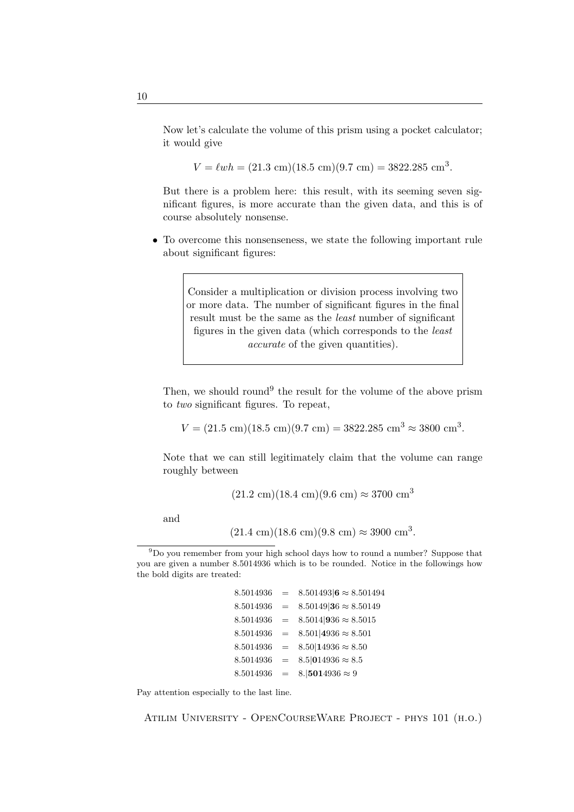Now let's calculate the volume of this prism using a pocket calculator; it would give

 $V = \ell wh = (21.3 \text{ cm})(18.5 \text{ cm})(9.7 \text{ cm}) = 3822.285 \text{ cm}^3.$ 

But there is a problem here: this result, with its seeming seven significant figures, is more accurate than the given data, and this is of course absolutely nonsense.

• To overcome this nonsenseness, we state the following important rule about significant figures:

> Consider a multiplication or division process involving two or more data. The number of significant figures in the final result must be the same as the least number of significant figures in the given data (which corresponds to the least accurate of the given quantities).

Then, we should round<sup>9</sup> the result for the volume of the above prism to two significant figures. To repeat,

 $V = (21.5 \text{ cm})(18.5 \text{ cm})(9.7 \text{ cm}) = 3822.285 \text{ cm}^3 \approx 3800 \text{ cm}^3.$ 

Note that we can still legitimately claim that the volume can range roughly between

 $(21.2 \text{ cm})(18.4 \text{ cm})(9.6 \text{ cm}) \approx 3700 \text{ cm}^3$ 

and

 $(21.4 \text{ cm})(18.6 \text{ cm})(9.8 \text{ cm}) \approx 3900 \text{ cm}^3$ .

```
8.5014936 = 8.501493 \mathbf{6} \approx 8.5014948.5014936 = 8.5014936 \approx 8.501498.5014936 = 8.5014936 \approx 8.50158.5014936 = 8.501|4936 \approx 8.5018.5014936 = 8.5014936 \approx 8.508.5014936 = 8.5|014936 \approx 8.58.5014936 = 8.15014936 \approx 9
```
Pay attention especially to the last line.

 $9D<sub>9</sub>$  you remember from your high school days how to round a number? Suppose that you are given a number 8.5014936 which is to be rounded. Notice in the followings how the bold digits are treated: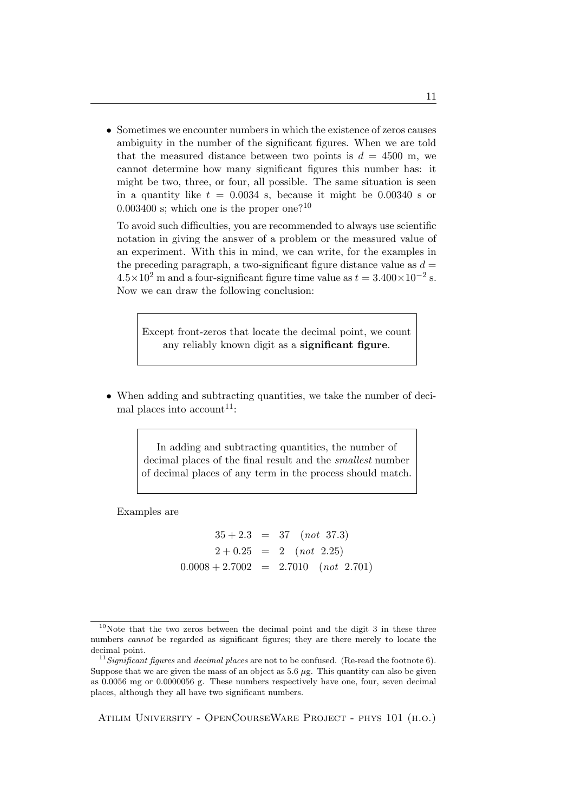• Sometimes we encounter numbers in which the existence of zeros causes ambiguity in the number of the significant figures. When we are told that the measured distance between two points is  $d = 4500$  m, we cannot determine how many significant figures this number has: it might be two, three, or four, all possible. The same situation is seen in a quantity like  $t = 0.0034$  s, because it might be 0.00340 s or 0.003400 s; which one is the proper one?<sup>10</sup>

To avoid such difficulties, you are recommended to always use scientific notation in giving the answer of a problem or the measured value of an experiment. With this in mind, we can write, for the examples in the preceding paragraph, a two-significant figure distance value as  $d =$  $4.5 \times 10^2$  m and a four-significant figure time value as  $t = 3.400 \times 10^{-2}$  s. Now we can draw the following conclusion:

Except front-zeros that locate the decimal point, we count any reliably known digit as a significant figure.

• When adding and subtracting quantities, we take the number of decimal places into account<sup>11</sup>:

> In adding and subtracting quantities, the number of decimal places of the final result and the smallest number of decimal places of any term in the process should match.

Examples are

 $35 + 2.3 = 37$  (not 37.3)  $2 + 0.25 = 2$  (not 2.25)  $0.0008 + 2.7002 = 2.7010$  (not 2.701)

 $10$ Note that the two zeros between the decimal point and the digit 3 in these three numbers *cannot* be regarded as significant figures; they are there merely to locate the decimal point.

 $11$  Significant figures and decimal places are not to be confused. (Re-read the footnote 6). Suppose that we are given the mass of an object as  $5.6 \mu g$ . This quantity can also be given as 0.0056 mg or 0.0000056 g. These numbers respectively have one, four, seven decimal places, although they all have two significant numbers.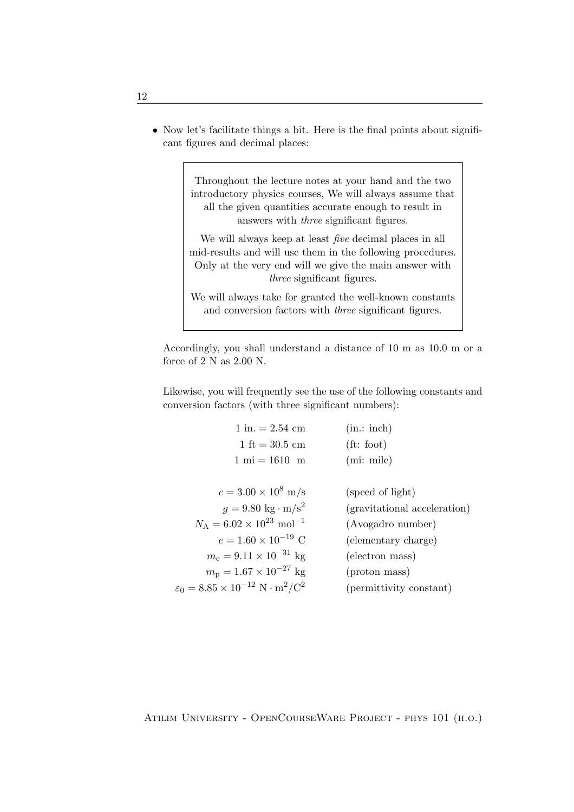• Now let's facilitate things a bit. Here is the final points about significant figures and decimal places:

> Throughout the lecture notes at your hand and the two introductory physics courses, We will always assume that all the given quantities accurate enough to result in answers with three significant figures.

> We will always keep at least *five* decimal places in all mid-results and will use them in the following procedures. Only at the very end will we give the main answer with three significant figures.

> We will always take for granted the well-known constants and conversion factors with three significant figures.

Accordingly, you shall understand a distance of 10 m as 10.0 m or a force of  $2 N$  as  $2.00 N$ .

Likewise, you will frequently see the use of the following constants and conversion factors (with three significant numbers):

| $1 \text{ in.} = 2.54 \text{ cm}$                                            | (in.:inch)                   |
|------------------------------------------------------------------------------|------------------------------|
| 1 ft = $30.5 \text{ cm}$                                                     | $(\text{ft: foot})$          |
| $1 \text{ mi} = 1610 \text{ m}$                                              | (mi: mile)                   |
|                                                                              |                              |
| $c = 3.00 \times 10^8$ m/s                                                   | (speed of light)             |
| $q = 9.80 \text{ kg} \cdot \text{m/s}^2$                                     | (gravitational acceleration) |
| $N_A = 6.02 \times 10^{23}$ mol <sup>-1</sup>                                | (Avogadro number)            |
| $e = 1.60 \times 10^{-19}$ C                                                 | (elementary charge)          |
| $m_e = 9.11 \times 10^{-31}$ kg                                              | (electron mass)              |
| $m_{\rm p} = 1.67 \times 10^{-27}$ kg                                        | (proton mass)                |
| $\varepsilon_0 = 8.85 \times 10^{-12} \text{ N} \cdot \text{m}^2/\text{C}^2$ | (permittivity constant)      |
|                                                                              |                              |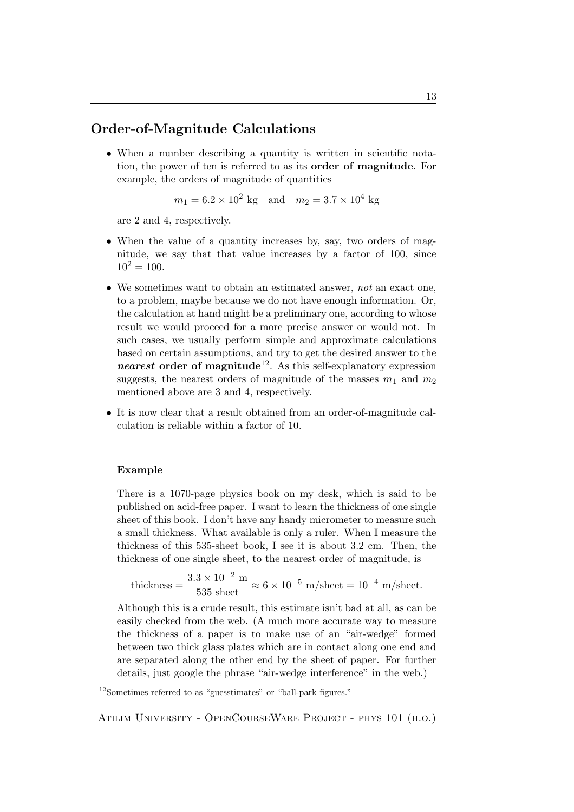### Order-of-Magnitude Calculations

• When a number describing a quantity is written in scientific notation, the power of ten is referred to as its order of magnitude. For example, the orders of magnitude of quantities

$$
m_1 = 6.2 \times 10^2
$$
 kg and  $m_2 = 3.7 \times 10^4$  kg

are 2 and 4, respectively.

- When the value of a quantity increases by, say, two orders of magnitude, we say that that value increases by a factor of 100, since  $10^2 = 100.$
- We sometimes want to obtain an estimated answer, not an exact one, to a problem, maybe because we do not have enough information. Or, the calculation at hand might be a preliminary one, according to whose result we would proceed for a more precise answer or would not. In such cases, we usually perform simple and approximate calculations based on certain assumptions, and try to get the desired answer to the *nearest* order of magnitude<sup>12</sup>. As this self-explanatory expression suggests, the nearest orders of magnitude of the masses  $m_1$  and  $m_2$ mentioned above are 3 and 4, respectively.
- It is now clear that a result obtained from an order-of-magnitude calculation is reliable within a factor of 10.

#### Example

There is a 1070-page physics book on my desk, which is said to be published on acid-free paper. I want to learn the thickness of one single sheet of this book. I don't have any handy micrometer to measure such a small thickness. What available is only a ruler. When I measure the thickness of this 535-sheet book, I see it is about 3.2 cm. Then, the thickness of one single sheet, to the nearest order of magnitude, is

\n thickness = \n 
$$
\frac{3.3 \times 10^{-2} \, \text{m}}{535 \, \text{sheet}} \approx 6 \times 10^{-5} \, \text{m/sheet} = 10^{-4} \, \text{m/sheet}.
$$
\n

Although this is a crude result, this estimate isn't bad at all, as can be easily checked from the web. (A much more accurate way to measure the thickness of a paper is to make use of an "air-wedge" formed between two thick glass plates which are in contact along one end and are separated along the other end by the sheet of paper. For further details, just google the phrase "air-wedge interference" in the web.)

 $12$ Sometimes referred to as "guesstimates" or "ball-park figures."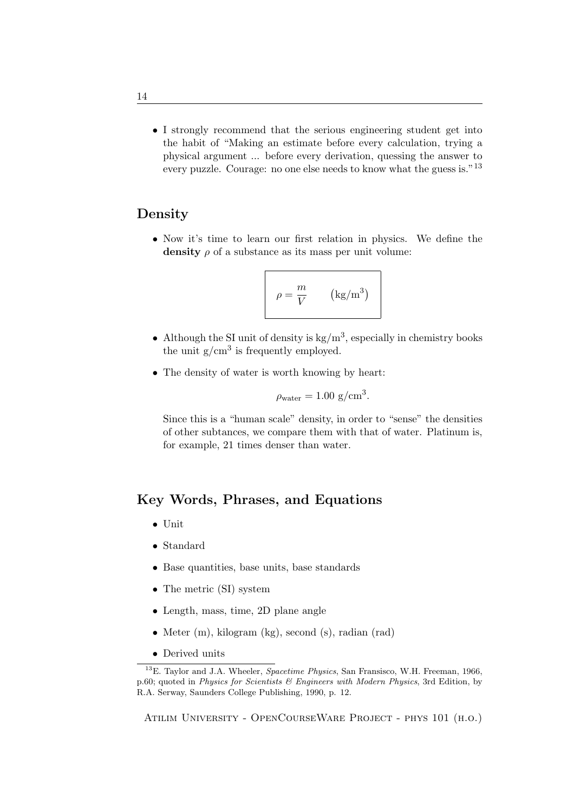• I strongly recommend that the serious engineering student get into the habit of "Making an estimate before every calculation, trying a physical argument ... before every derivation, quessing the answer to every puzzle. Courage: no one else needs to know what the guess is."<sup>13</sup>

#### Density

• Now it's time to learn our first relation in physics. We define the density  $\rho$  of a substance as its mass per unit volume:

$$
\rho = \frac{m}{V} \qquad (\text{kg/m}^3)
$$

- Although the SI unit of density is  $kg/m<sup>3</sup>$ , especially in chemistry books the unit  $g/cm<sup>3</sup>$  is frequently employed.
- The density of water is worth knowing by heart:

$$
\rho_{\text{water}} = 1.00 \text{ g/cm}^3.
$$

Since this is a "human scale" density, in order to "sense" the densities of other subtances, we compare them with that of water. Platinum is, for example, 21 times denser than water.

#### Key Words, Phrases, and Equations

- Unit
- Standard
- Base quantities, base units, base standards
- The metric (SI) system
- Length, mass, time, 2D plane angle
- Meter (m), kilogram (kg), second (s), radian (rad)
- Derived units

 $13E$ . Taylor and J.A. Wheeler, *Spacetime Physics*, San Fransisco, W.H. Freeman, 1966, p.60; quoted in Physics for Scientists  $\mathcal B$  Engineers with Modern Physics, 3rd Edition, by R.A. Serway, Saunders College Publishing, 1990, p. 12.